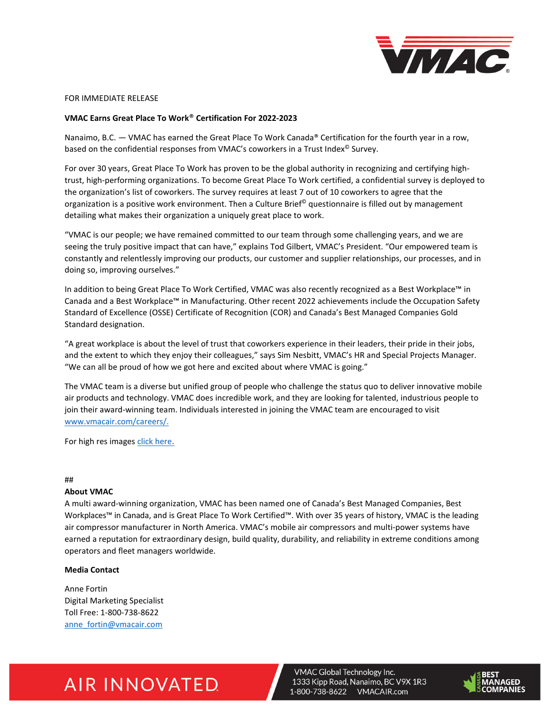

FOR IMMEDIATE RELEASE

### **VMAC Earns Great Place To Work**® **Certification For 2022-2023**

Nanaimo, B.C. — VMAC has earned the Great Place To Work Canada® Certification for the fourth year in a row, based on the confidential responses from VMAC's coworkers in a Trust Index<sup>®</sup> Survey.

For over 30 years, Great Place To Work has proven to be the global authority in recognizing and certifying hightrust, high-performing organizations. To become Great Place To Work certified, a confidential survey is deployed to the organization's list of coworkers. The survey requires at least 7 out of 10 coworkers to agree that the organization is a positive work environment. Then a Culture Brief<sup>©</sup> questionnaire is filled out by management detailing what makes their organization a uniquely great place to work.

"VMAC is our people; we have remained committed to our team through some challenging years, and we are seeing the truly positive impact that can have," explains Tod Gilbert, VMAC's President. "Our empowered team is constantly and relentlessly improving our products, our customer and supplier relationships, our processes, and in doing so, improving ourselves."

In addition to being Great Place To Work Certified, VMAC was also recently recognized as a Best Workplace™ in Canada and a Best Workplace™ in Manufacturing. Other recent 2022 achievements include the Occupation Safety Standard of Excellence (OSSE) Certificate of Recognition (COR) and Canada's Best Managed Companies Gold Standard designation.

"A great workplace is about the level of trust that coworkers experience in their leaders, their pride in their jobs, and the extent to which they enjoy their colleagues," says Sim Nesbitt, VMAC's HR and Special Projects Manager. "We can all be proud of how we got here and excited about where VMAC is going."

The VMAC team is a diverse but unified group of people who challenge the status quo to deliver innovative mobile air products and technology. VMAC does incredible work, and they are looking for talented, industrious people to join their award-winning team. Individuals interested in joining the VMAC team are encouraged to visit [www.vmacair.com/careers/.](https://www.vmacair.com/careers/)

For high res images [click here.](https://vgti.sharepoint.com/:f:/g/Marketing/EpcpVt6dhUhPs3-pJnMEH1EBFqqry6RQAUf27PbE0VE4Fw?e=1x0YMO)

### ##

### **About VMAC**

A multi award-winning organization, VMAC has been named one of Canada's Best Managed Companies, Best Workplaces™ in Canada, and is Great Place To Work Certified™. With over 35 years of history, VMAC is the leading air compressor manufacturer in North America. VMAC's mobile air compressors and multi-power systems have earned a reputation for extraordinary design, build quality, durability, and reliability in extreme conditions among operators and fleet managers worldwide.

## **Media Contact**

Anne Fortin Digital Marketing Specialist Toll Free: 1-800-738-8622 [anne\\_fortin@vmacair.com](mailto:anne_fortin@vmacair.com)

# **AIR INNOVATED**